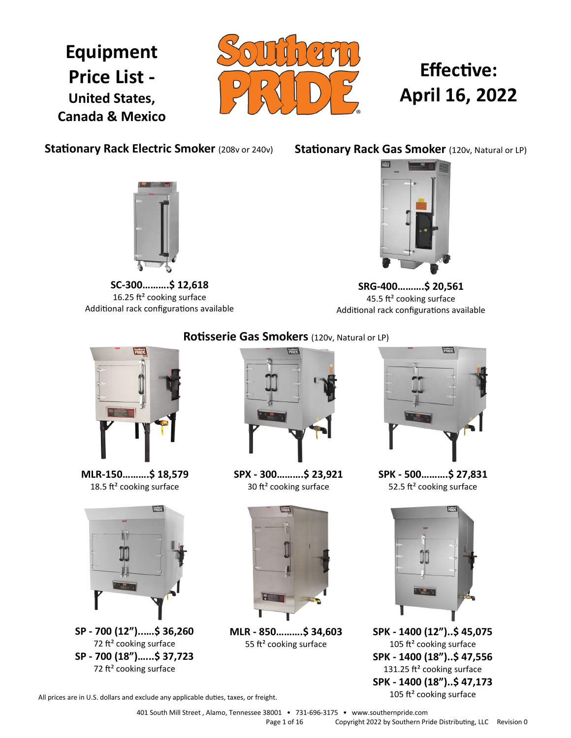## **Equipment Price List - United States, Canada & Mexico**



# **Effective: April 16, 2022**

**Stationary Rack Electric Smoker (208v or 240v)** 

**Stationary Rack Gas Smoker** (120v, Natural or LP)



**SC-300……….\$ 12,618** 16.25 ft² cooking surface Additional rack configurations available



**SRG-400……….\$ 20,561** 45.5 ft² cooking surface Additional rack configurations available



**MLR-150……….\$ 18,579** 18.5 ft<sup>2</sup> cooking surface



**SP - 700 (12")..….\$ 36,260** 72 ft² cooking surface **SP - 700 (18")…...\$ 37,723** 72 ft² cooking surface

## **Rotisserie Gas Smokers** (120v, Natural or LP)



**SPX - 300……….\$ 23,921** 30 ft² cooking surface



**MLR - 850……….\$ 34,603** 55 ft<sup>2</sup> cooking surface



**SPK - 500……….\$ 27,831** 52.5 ft<sup>2</sup> cooking surface



**SPK - 1400 (12")..\$ 45,075** 105 ft<sup>2</sup> cooking surface **SPK - 1400 (18")..\$ 47,556** 131.25 ft<sup>2</sup> cooking surface **SPK - 1400 (18")..\$ 47,173** 105 ft² cooking surface

All prices are in U.S. dollars and exclude any applicable duties, taxes, or freight.

401 South Mill Street , Alamo, Tennessee 38001 • 731-696-3175 • www.southernpride.com Page 1 of 16 Copyright 2022 by Southern Pride Distributing, LLC Revision 0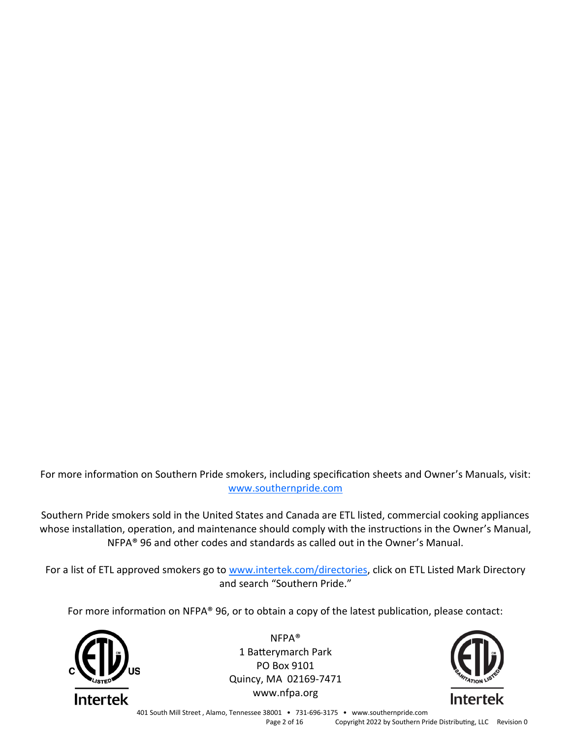For more information on Southern Pride smokers, including specification sheets and Owner's Manuals, visit: [www.southernpride.com](http://www.southernpride.com)

Southern Pride smokers sold in the United States and Canada are ETL listed, commercial cooking appliances whose installation, operation, and maintenance should comply with the instructions in the Owner's Manual, NFPA® 96 and other codes and standards as called out in the Owner's Manual.

For a list of ETL approved smokers go to [www.intertek.com/directories,](http://www.intertek.com/directories) click on ETL Listed Mark Directory and search "Southern Pride."

For more information on NFPA® 96, or to obtain a copy of the latest publication, please contact:



NFPA® 1 Batterymarch Park PO Box 9101 Quincy, MA 02169-7471 www.nfpa.org



401 South Mill Street , Alamo, Tennessee 38001 • 731-696-3175 • www.southernpride.com Page 2 of 16 Copyright 2022 by Southern Pride Distributing, LLC Revision 0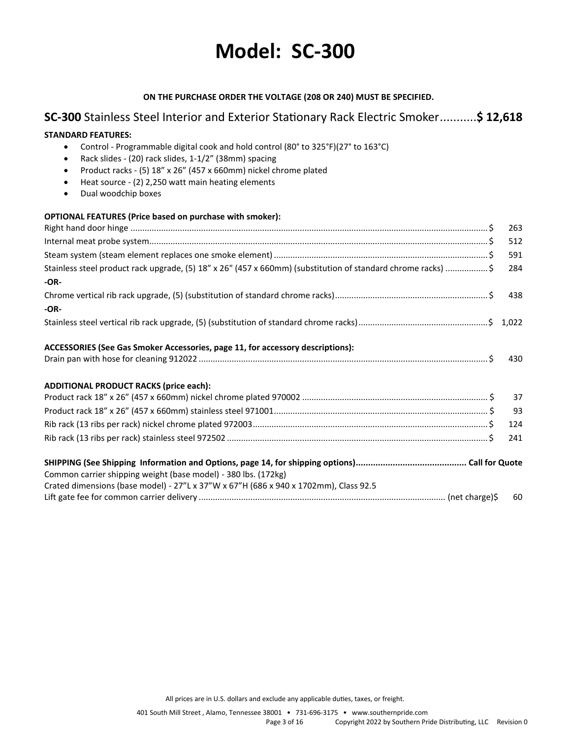# **Model: SC-300**

### **ON THE PURCHASE ORDER THE VOLTAGE (208 OR 240) MUST BE SPECIFIED.**

## **SC-300** Stainless Steel Interior and Exterior Stationary Rack Electric Smoker...........**\$ 12,618**

**STANDARD FEATURES:** 

| Control - Programmable digital cook and hold control (80° to 325°F)(27° to 163°C)<br>$\bullet$<br>Rack slides - (20) rack slides, 1-1/2" (38mm) spacing |     |
|---------------------------------------------------------------------------------------------------------------------------------------------------------|-----|
| Product racks - (5) 18" x 26" (457 x 660mm) nickel chrome plated<br>$\bullet$                                                                           |     |
| Heat source - (2) 2,250 watt main heating elements<br>$\bullet$                                                                                         |     |
| Dual woodchip boxes<br>$\bullet$                                                                                                                        |     |
| <b>OPTIONAL FEATURES (Price based on purchase with smoker):</b>                                                                                         |     |
|                                                                                                                                                         | 263 |
|                                                                                                                                                         | 512 |
|                                                                                                                                                         | 591 |
| Stainless steel product rack upgrade, (5) 18" x 26" (457 x 660mm) (substitution of standard chrome racks) \$                                            | 284 |
| $-OR-$                                                                                                                                                  |     |
|                                                                                                                                                         | 438 |
| $-OR-$                                                                                                                                                  |     |
|                                                                                                                                                         |     |
| ACCESSORIES (See Gas Smoker Accessories, page 11, for accessory descriptions):                                                                          |     |
|                                                                                                                                                         | 430 |
| <b>ADDITIONAL PRODUCT RACKS (price each):</b>                                                                                                           |     |
|                                                                                                                                                         | 37  |
|                                                                                                                                                         | 93  |
|                                                                                                                                                         | 124 |
|                                                                                                                                                         | 241 |
|                                                                                                                                                         |     |
| Common carrier shipping weight (base model) - 380 lbs. (172kg)                                                                                          |     |
| Crated dimensions (base model) - 27"L x 37"W x 67"H (686 x 940 x 1702mm), Class 92.5                                                                    |     |
|                                                                                                                                                         | 60  |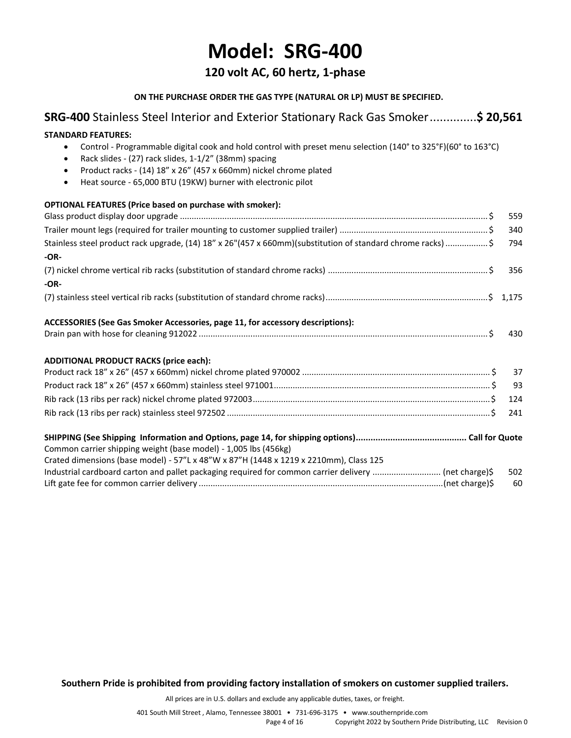## **Model: SRG-400**

## **120 volt AC, 60 hertz, 1-phase**

### **ON THE PURCHASE ORDER THE GAS TYPE (NATURAL OR LP) MUST BE SPECIFIED.**

## **SRG-400** Stainless Steel Interior and Exterior Stationary Rack Gas Smoker..............**\$ 20,561 STANDARD FEATURES:**  • Control - Programmable digital cook and hold control with preset menu selection (140° to 325°F)(60° to 163°C) • Rack slides - (27) rack slides, 1-1/2" (38mm) spacing • Product racks - (14) 18" x 26" (457 x 660mm) nickel chrome plated • Heat source - 65,000 BTU (19KW) burner with electronic pilot **OPTIONAL FEATURES (Price based on purchase with smoker):** Glass product display door upgrade ................................................................................................................................... \$ 559 Trailer mount legs (required for trailer mounting to customer supplied trailer) ............................................................... \$ 340 Stainless steel product rack upgrade, (14) 18" x 26"(457 x 660mm)(substitution of standard chrome racks).................. \$ 794 **-OR-** (7) nickel chrome vertical rib racks (substitution of standard chrome racks) .................................................................... \$ 356 **-OR-** (7) stainless steel vertical rib racks (substitution of standard chrome racks).....................................................................\$ 1,175 **ACCESSORIES (See Gas Smoker Accessories, page 11, for accessory descriptions):** Drain pan with hose for cleaning 912022 ........................................................................................................................... \$ 430 **ADDITIONAL PRODUCT RACKS (price each):** Product rack 18" x 26" (457 x 660mm) nickel chrome plated 970002 ................................................................................ \$ 37 Product rack 18" x 26" (457 x 660mm) stainless steel 971001............................................................................................ \$ 93 Rib rack (13 ribs per rack) nickel chrome plated 972003.....................................................................................................\$ 124 Rib rack (13 ribs per rack) stainless steel 972502 ................................................................................................................\$ 241 **SHIPPING (See Shipping Information and Options, page 14, for shipping options)............................................. Call for Quote** Common carrier shipping weight (base model) - 1,005 lbs (456kg) Crated dimensions (base model) - 57"L x 48"W x 87"H (1448 x 1219 x 2210mm), Class 125 Industrial cardboard carton and pallet packaging required for common carrier delivery ............................. (net charge)\$ 502 Lift gate fee for common carrier delivery ........................................................................................................(net charge)\$ 60

**Southern Pride is prohibited from providing factory installation of smokers on customer supplied trailers.**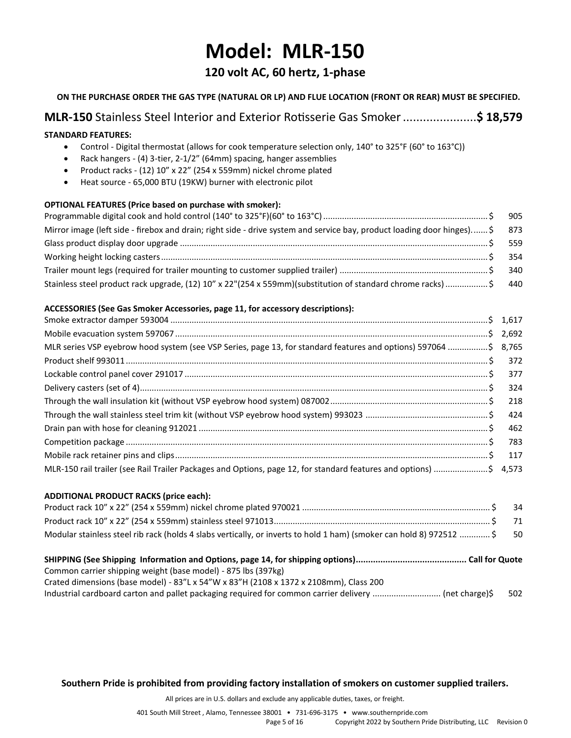## **Model: MLR-150**

## **120 volt AC, 60 hertz, 1-phase**

### **ON THE PURCHASE ORDER THE GAS TYPE (NATURAL OR LP) AND FLUE LOCATION (FRONT OR REAR) MUST BE SPECIFIED.**

## **MLR-150** Stainless Steel Interior and Exterior Rotisserie Gas Smoker......................**\$ 18,579**

#### **STANDARD FEATURES:**

- Control Digital thermostat (allows for cook temperature selection only, 140° to 325°F (60° to 163°C))
- Rack hangers (4) 3-tier, 2-1/2" (64mm) spacing, hanger assemblies
- Product racks (12) 10" x 22" (254 x 559mm) nickel chrome plated
- Heat source 65,000 BTU (19KW) burner with electronic pilot

#### **OPTIONAL FEATURES (Price based on purchase with smoker):**

| Mirror image (left side - firebox and drain; right side - drive system and service bay, product loading door hinges) \$ 873 |  |
|-----------------------------------------------------------------------------------------------------------------------------|--|
|                                                                                                                             |  |
|                                                                                                                             |  |
|                                                                                                                             |  |
| Stainless steel product rack upgrade, (12) 10" x 22"(254 x 559mm)(substitution of standard chrome racks) \$ 440             |  |

### **ACCESSORIES (See Gas Smoker Accessories, page 11, for accessory descriptions):**

| MLR series VSP eyebrow hood system (see VSP Series, page 13, for standard features and options) 597064 \$ 8,765   |  |
|-------------------------------------------------------------------------------------------------------------------|--|
|                                                                                                                   |  |
|                                                                                                                   |  |
|                                                                                                                   |  |
|                                                                                                                   |  |
|                                                                                                                   |  |
|                                                                                                                   |  |
|                                                                                                                   |  |
|                                                                                                                   |  |
| MLR-150 rail trailer (see Rail Trailer Packages and Options, page 12, for standard features and options) \$ 4,573 |  |

#### **ADDITIONAL PRODUCT RACKS (price each):**

|                                                                                                                         | - 71 |
|-------------------------------------------------------------------------------------------------------------------------|------|
| Modular stainless steel rib rack (holds 4 slabs vertically, or inverts to hold 1 ham) (smoker can hold 8) 972512  \$ 50 |      |
|                                                                                                                         |      |
| Common carrier shipping weight (base model) - 875 lbs (397kg)                                                           |      |

**Southern Pride is prohibited from providing factory installation of smokers on customer supplied trailers.**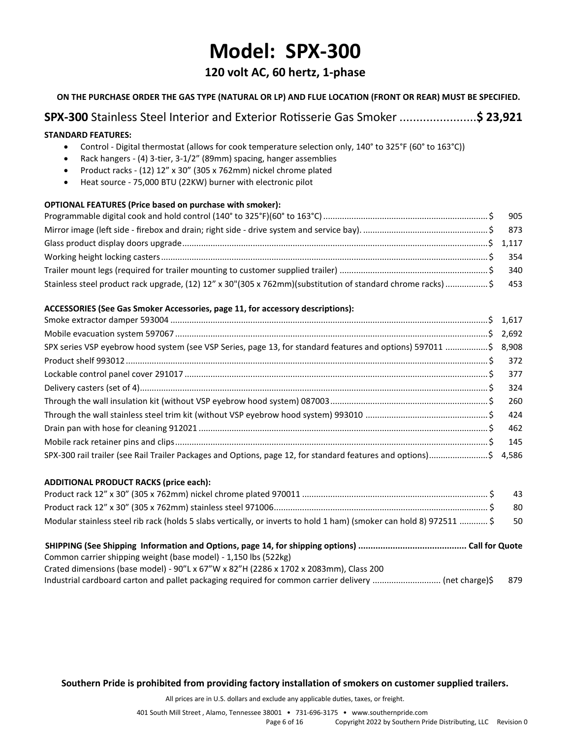## **Model: SPX-300**

## **120 volt AC, 60 hertz, 1-phase**

### **ON THE PURCHASE ORDER THE GAS TYPE (NATURAL OR LP) AND FLUE LOCATION (FRONT OR REAR) MUST BE SPECIFIED.**

## **SPX-300** Stainless Steel Interior and Exterior Rotisserie Gas Smoker .......................**\$ 23,921**

#### **STANDARD FEATURES:**

- Control Digital thermostat (allows for cook temperature selection only, 140° to 325°F (60° to 163°C))
- Rack hangers (4) 3-tier, 3-1/2" (89mm) spacing, hanger assemblies
- Product racks (12) 12" x 30" (305 x 762mm) nickel chrome plated
- Heat source 75,000 BTU (22KW) burner with electronic pilot

#### **OPTIONAL FEATURES (Price based on purchase with smoker):**

| Stainless steel product rack upgrade, (12) 12" x 30"(305 x 762mm)(substitution of standard chrome racks) \$ 453 |  |
|-----------------------------------------------------------------------------------------------------------------|--|

#### **ACCESSORIES (See Gas Smoker Accessories, page 11, for accessory descriptions):**

| SPX series VSP eyebrow hood system (see VSP Series, page 13, for standard features and options) 597011 \$ 8,908  |  |
|------------------------------------------------------------------------------------------------------------------|--|
|                                                                                                                  |  |
|                                                                                                                  |  |
|                                                                                                                  |  |
|                                                                                                                  |  |
|                                                                                                                  |  |
|                                                                                                                  |  |
|                                                                                                                  |  |
| SPX-300 rail trailer (see Rail Trailer Packages and Options, page 12, for standard features and options)\$ 4,586 |  |

#### **ADDITIONAL PRODUCT RACKS (price each):**

|                                                                                                                         | 43  |
|-------------------------------------------------------------------------------------------------------------------------|-----|
|                                                                                                                         | -80 |
| Modular stainless steel rib rack (holds 5 slabs vertically, or inverts to hold 1 ham) (smoker can hold 8) 972511  \$ 50 |     |
|                                                                                                                         |     |
|                                                                                                                         |     |
| Common carrier shipping weight (base model) - 1,150 lbs (522kg)                                                         |     |
| Crated dimensions (base model) - 90"L x 67"W x 82"H (2286 x 1702 x 2083mm), Class 200                                   |     |

**Southern Pride is prohibited from providing factory installation of smokers on customer supplied trailers.**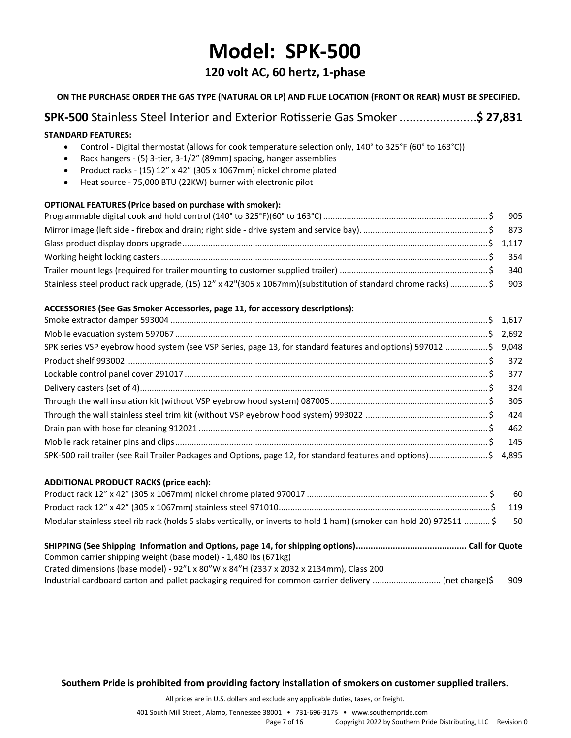## **Model: SPK-500**

## **120 volt AC, 60 hertz, 1-phase**

### **ON THE PURCHASE ORDER THE GAS TYPE (NATURAL OR LP) AND FLUE LOCATION (FRONT OR REAR) MUST BE SPECIFIED.**

## **SPK-500** Stainless Steel Interior and Exterior Rotisserie Gas Smoker .......................**\$ 27,831**

#### **STANDARD FEATURES:**

- Control Digital thermostat (allows for cook temperature selection only, 140° to 325°F (60° to 163°C))
- Rack hangers (5) 3-tier, 3-1/2" (89mm) spacing, hanger assemblies
- Product racks (15) 12" x 42" (305 x 1067mm) nickel chrome plated
- Heat source 75,000 BTU (22KW) burner with electronic pilot

#### **OPTIONAL FEATURES (Price based on purchase with smoker):**

| Stainless steel product rack upgrade, (15) 12" x 42"(305 x 1067mm)(substitution of standard chrome racks)\$ 903 |  |
|-----------------------------------------------------------------------------------------------------------------|--|

#### **ACCESSORIES (See Gas Smoker Accessories, page 11, for accessory descriptions):**

| SPK series VSP eyebrow hood system (see VSP Series, page 13, for standard features and options) 597012 \$ 9,048  |  |
|------------------------------------------------------------------------------------------------------------------|--|
|                                                                                                                  |  |
|                                                                                                                  |  |
|                                                                                                                  |  |
|                                                                                                                  |  |
|                                                                                                                  |  |
|                                                                                                                  |  |
|                                                                                                                  |  |
| SPK-500 rail trailer (see Rail Trailer Packages and Options, page 12, for standard features and options)\$ 4,895 |  |

#### **ADDITIONAL PRODUCT RACKS (price each):**

| Modular stainless steel rib rack (holds 5 slabs vertically, or inverts to hold 1 ham) (smoker can hold 20) 972511  \$ 50 |  |
|--------------------------------------------------------------------------------------------------------------------------|--|
|                                                                                                                          |  |
|                                                                                                                          |  |
| Common carrier shipping weight (base model) - 1,480 lbs (671kg)                                                          |  |
| Crated dimensions (base model) - 92"L x 80"W x 84"H (2337 x 2032 x 2134mm), Class 200                                    |  |

**Southern Pride is prohibited from providing factory installation of smokers on customer supplied trailers.**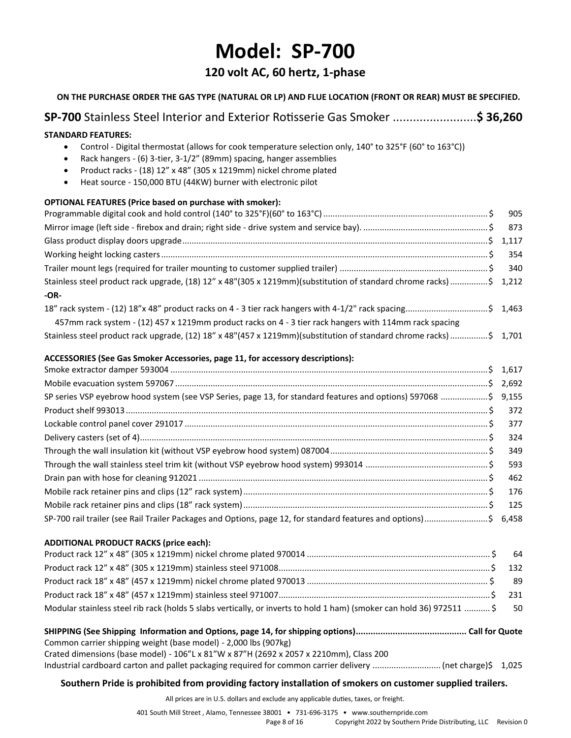## **Model: SP-700**

## **120 volt AC, 60 hertz, 1-phase**

| ON THE PURCHASE ORDER THE GAS TYPE (NATURAL OR LP) AND FLUE LOCATION (FRONT OR REAR) MUST BE SPECIFIED.                                                                                                                                                                                                                                                                      |       |
|------------------------------------------------------------------------------------------------------------------------------------------------------------------------------------------------------------------------------------------------------------------------------------------------------------------------------------------------------------------------------|-------|
| SP-700 Stainless Steel Interior and Exterior Rotisserie Gas Smoker \$ 36,260                                                                                                                                                                                                                                                                                                 |       |
| <b>STANDARD FEATURES:</b><br>Control - Digital thermostat (allows for cook temperature selection only, 140° to 325°F (60° to 163°C))<br>Rack hangers - (6) 3-tier, 3-1/2" (89mm) spacing, hanger assemblies<br>Product racks - (18) 12" x 48" (305 x 1219mm) nickel chrome plated<br>$\bullet$<br>Heat source - 150,000 BTU (44KW) burner with electronic pilot<br>$\bullet$ |       |
| OPTIONAL FEATURES (Price based on purchase with smoker):                                                                                                                                                                                                                                                                                                                     |       |
|                                                                                                                                                                                                                                                                                                                                                                              | 905   |
|                                                                                                                                                                                                                                                                                                                                                                              | 873   |
|                                                                                                                                                                                                                                                                                                                                                                              |       |
|                                                                                                                                                                                                                                                                                                                                                                              | 354   |
|                                                                                                                                                                                                                                                                                                                                                                              | 340   |
| Stainless steel product rack upgrade, (18) 12" x 48"(305 x 1219mm)(substitution of standard chrome racks)\$<br>$-OR-$                                                                                                                                                                                                                                                        | 1,212 |
| 1463 18" rack system - (12) 18"x 48" product racks on 4 - 3 tier rack hangers with 4-1/2" rack spacing\$ 1,463                                                                                                                                                                                                                                                               |       |
| 457mm rack system - (12) 457 x 1219mm product racks on 4 - 3 tier rack hangers with 114mm rack spacing                                                                                                                                                                                                                                                                       |       |
| Stainless steel product rack upgrade, (12) 18" x 48"(457 x 1219mm)(substitution of standard chrome racks) \$ 1,701                                                                                                                                                                                                                                                           |       |
| ACCESSORIES (See Gas Smoker Accessories, page 11, for accessory descriptions):                                                                                                                                                                                                                                                                                               |       |
|                                                                                                                                                                                                                                                                                                                                                                              |       |
|                                                                                                                                                                                                                                                                                                                                                                              |       |
| SP series VSP eyebrow hood system (see VSP Series, page 13, for standard features and options) 597068 \$ 9,155                                                                                                                                                                                                                                                               |       |
|                                                                                                                                                                                                                                                                                                                                                                              | 372   |
|                                                                                                                                                                                                                                                                                                                                                                              | 377   |
|                                                                                                                                                                                                                                                                                                                                                                              | 324   |
|                                                                                                                                                                                                                                                                                                                                                                              | 349   |
|                                                                                                                                                                                                                                                                                                                                                                              | 593   |
|                                                                                                                                                                                                                                                                                                                                                                              | 462   |
|                                                                                                                                                                                                                                                                                                                                                                              | 176   |
|                                                                                                                                                                                                                                                                                                                                                                              | 125   |
| SP-700 rail trailer (see Rail Trailer Packages and Options, page 12, for standard features and options)\$ 6,458                                                                                                                                                                                                                                                              |       |
| <b>ADDITIONAL PRODUCT RACKS (price each):</b>                                                                                                                                                                                                                                                                                                                                | 64    |
|                                                                                                                                                                                                                                                                                                                                                                              | 132   |
|                                                                                                                                                                                                                                                                                                                                                                              | 89    |
|                                                                                                                                                                                                                                                                                                                                                                              | 231   |
| Modular stainless steel rib rack (holds 5 slabs vertically, or inverts to hold 1 ham) (smoker can hold 36) 972511  \$                                                                                                                                                                                                                                                        | 50    |
|                                                                                                                                                                                                                                                                                                                                                                              |       |
| Common carrier shipping weight (base model) - 2,000 lbs (907kg)                                                                                                                                                                                                                                                                                                              |       |
| Crated dimensions (base model) - 106"L x 81"W x 87"H (2692 x 2057 x 2210mm), Class 200                                                                                                                                                                                                                                                                                       |       |
|                                                                                                                                                                                                                                                                                                                                                                              |       |
| Southern Pride is prohibited from providing factory installation of smokers on customer supplied trailers.                                                                                                                                                                                                                                                                   |       |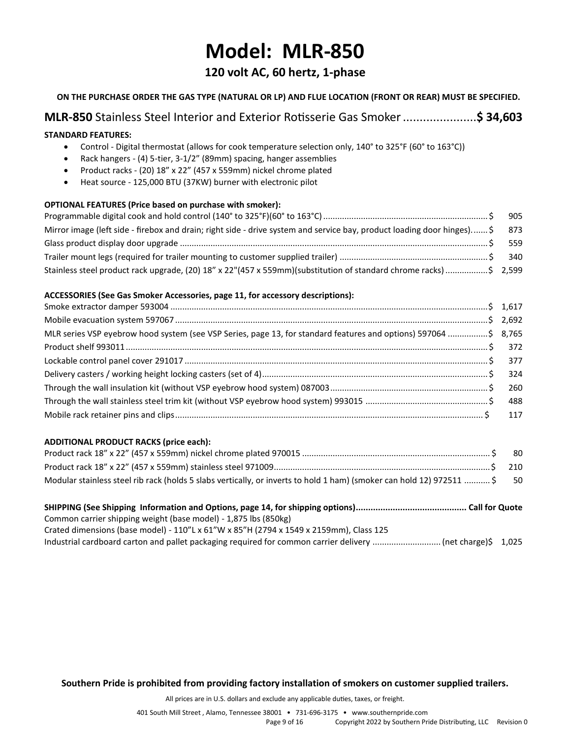## **Model: MLR-850**

## **120 volt AC, 60 hertz, 1-phase**

### **ON THE PURCHASE ORDER THE GAS TYPE (NATURAL OR LP) AND FLUE LOCATION (FRONT OR REAR) MUST BE SPECIFIED.**

## **MLR-850** Stainless Steel Interior and Exterior Rotisserie Gas Smoker......................**\$ 34,603**

#### **STANDARD FEATURES:**

- Control Digital thermostat (allows for cook temperature selection only, 140° to 325°F (60° to 163°C))
- Rack hangers (4) 5-tier, 3-1/2" (89mm) spacing, hanger assemblies
- Product racks (20) 18" x 22" (457 x 559mm) nickel chrome plated
- Heat source 125,000 BTU (37KW) burner with electronic pilot

#### **OPTIONAL FEATURES (Price based on purchase with smoker):**

| Mirror image (left side - firebox and drain; right side - drive system and service bay, product loading door hinges)\$ 873 |  |
|----------------------------------------------------------------------------------------------------------------------------|--|
|                                                                                                                            |  |
|                                                                                                                            |  |
| Stainless steel product rack upgrade, (20) 18" x 22"(457 x 559mm)(substitution of standard chrome racks) \$ 2,599          |  |

#### **ACCESSORIES (See Gas Smoker Accessories, page 11, for accessory descriptions):**

| MLR series VSP eyebrow hood system (see VSP Series, page 13, for standard features and options) 597064 \$ 8,765 |  |
|-----------------------------------------------------------------------------------------------------------------|--|
|                                                                                                                 |  |
|                                                                                                                 |  |
|                                                                                                                 |  |
|                                                                                                                 |  |
|                                                                                                                 |  |
|                                                                                                                 |  |

#### **ADDITIONAL PRODUCT RACKS (price each):**

|                                                                                                                       | -80  |
|-----------------------------------------------------------------------------------------------------------------------|------|
|                                                                                                                       |      |
| Modular stainless steel rib rack (holds 5 slabs vertically, or inverts to hold 1 ham) (smoker can hold 12) 972511  \$ | - 50 |

| Common carrier shipping weight (base model) - 1,875 lbs (850kg)                                            |  |
|------------------------------------------------------------------------------------------------------------|--|
| Crated dimensions (base model) - 110"L x 61"W x 85"H (2794 x 1549 x 2159mm), Class 125                     |  |
| Industrial cardboard carton and pallet packaging required for common carrier delivery  (net charge)\$1,025 |  |

**Southern Pride is prohibited from providing factory installation of smokers on customer supplied trailers.**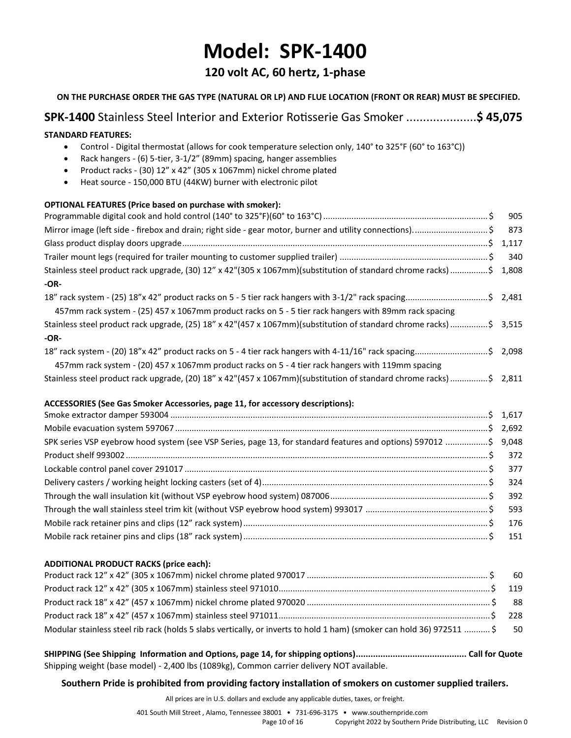## **Model: SPK-1400**

## **120 volt AC, 60 hertz, 1-phase**

| ON THE PURCHASE ORDER THE GAS TYPE (NATURAL OR LP) AND FLUE LOCATION (FRONT OR REAR) MUST BE SPECIFIED.                                                                                                                                                                                                                                                                                                |       |
|--------------------------------------------------------------------------------------------------------------------------------------------------------------------------------------------------------------------------------------------------------------------------------------------------------------------------------------------------------------------------------------------------------|-------|
| <b>SPK-1400</b> Stainless Steel Interior and Exterior Rotisserie Gas Smoker \$ 45,075                                                                                                                                                                                                                                                                                                                  |       |
| <b>STANDARD FEATURES:</b><br>Control - Digital thermostat (allows for cook temperature selection only, 140° to 325°F (60° to 163°C))<br>$\bullet$<br>Rack hangers - (6) 5-tier, 3-1/2" (89mm) spacing, hanger assemblies<br>$\bullet$<br>Product racks - (30) 12" x 42" (305 x 1067mm) nickel chrome plated<br>$\bullet$<br>Heat source - 150,000 BTU (44KW) burner with electronic pilot<br>$\bullet$ |       |
| OPTIONAL FEATURES (Price based on purchase with smoker):                                                                                                                                                                                                                                                                                                                                               |       |
|                                                                                                                                                                                                                                                                                                                                                                                                        | 905   |
| Mirror image (left side - firebox and drain; right side - gear motor, burner and utility connections)\$                                                                                                                                                                                                                                                                                                | 873   |
|                                                                                                                                                                                                                                                                                                                                                                                                        |       |
|                                                                                                                                                                                                                                                                                                                                                                                                        | 340   |
| Stainless steel product rack upgrade, (30) 12" x 42"(305 x 1067mm)(substitution of standard chrome racks)\$<br>$-OR-$                                                                                                                                                                                                                                                                                  | 1,808 |
| 18" rack system - (25) 18"x 42" product racks on 5 - 5 tier rack hangers with 3-1/2" rack spacing\$ 2,481<br>457mm rack system - (25) 457 x 1067mm product racks on 5 - 5 tier rack hangers with 89mm rack spacing                                                                                                                                                                                     |       |
| Stainless steel product rack upgrade, (25) 18" x 42"(457 x 1067mm)(substitution of standard chrome racks) \$ 3,515                                                                                                                                                                                                                                                                                     |       |
| $-OR-$                                                                                                                                                                                                                                                                                                                                                                                                 |       |
| 18" rack system - (20) 18"x 42" product racks on 5 - 4 tier rack hangers with 4-11/16" rack spacing\$ 2,098                                                                                                                                                                                                                                                                                            |       |
| 457mm rack system - (20) 457 x 1067mm product racks on 5 - 4 tier rack hangers with 119mm spacing                                                                                                                                                                                                                                                                                                      |       |
| Stainless steel product rack upgrade, (20) 18" x 42"(457 x 1067mm)(substitution of standard chrome racks) \$ 2,811                                                                                                                                                                                                                                                                                     |       |
| ACCESSORIES (See Gas Smoker Accessories, page 11, for accessory descriptions):                                                                                                                                                                                                                                                                                                                         |       |
|                                                                                                                                                                                                                                                                                                                                                                                                        |       |
|                                                                                                                                                                                                                                                                                                                                                                                                        | 2,692 |
| SPK series VSP eyebrow hood system (see VSP Series, page 13, for standard features and options) 597012 \$                                                                                                                                                                                                                                                                                              | 9,048 |
|                                                                                                                                                                                                                                                                                                                                                                                                        | 372   |
|                                                                                                                                                                                                                                                                                                                                                                                                        | 377   |
|                                                                                                                                                                                                                                                                                                                                                                                                        | 324   |
|                                                                                                                                                                                                                                                                                                                                                                                                        | 392   |
|                                                                                                                                                                                                                                                                                                                                                                                                        | 593   |
|                                                                                                                                                                                                                                                                                                                                                                                                        | 176   |
|                                                                                                                                                                                                                                                                                                                                                                                                        | 151   |

### **ADDITIONAL PRODUCT RACKS (price each):**

| Modular stainless steel rib rack (holds 5 slabs vertically, or inverts to hold 1 ham) (smoker can hold 36) 972511  \$ 50 |  |
|--------------------------------------------------------------------------------------------------------------------------|--|
|                                                                                                                          |  |

**SHIPPING (See Shipping Information and Options, page 14, for shipping options)............................................. Call for Quote** Shipping weight (base model) - 2,400 lbs (1089kg), Common carrier delivery NOT available.

**Southern Pride is prohibited from providing factory installation of smokers on customer supplied trailers.**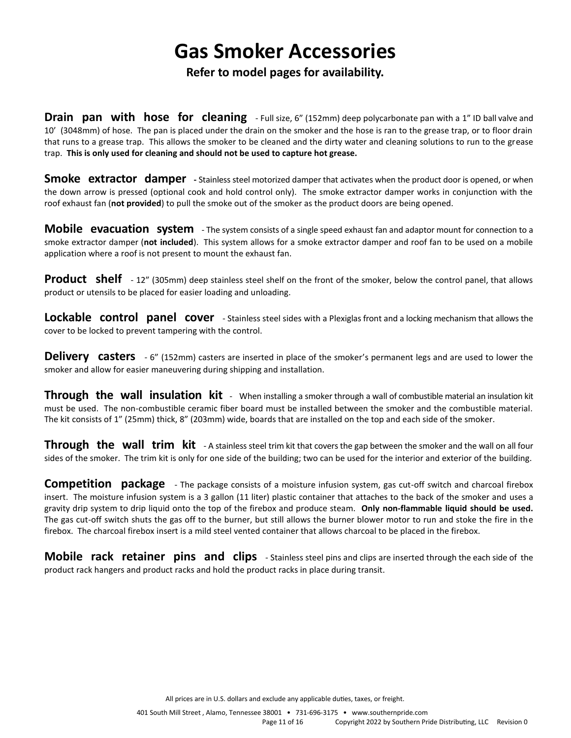## **Gas Smoker Accessories**

### **Refer to model pages for availability.**

**Drain pan with hose for cleaning** - Full size, 6" (152mm) deep polycarbonate pan with a 1" ID ball valve and 10' (3048mm) of hose. The pan is placed under the drain on the smoker and the hose is ran to the grease trap, or to floor drain that runs to a grease trap. This allows the smoker to be cleaned and the dirty water and cleaning solutions to run to the grease trap. **This is only used for cleaning and should not be used to capture hot grease.**

**Smoke extractor damper** - Stainless steel motorized damper that activates when the product door is opened, or when the down arrow is pressed (optional cook and hold control only). The smoke extractor damper works in conjunction with the roof exhaust fan (**not provided**) to pull the smoke out of the smoker as the product doors are being opened.

**Mobile evacuation system** - The system consists of a single speed exhaust fan and adaptor mount for connection to a smoke extractor damper (**not included**). This system allows for a smoke extractor damper and roof fan to be used on a mobile application where a roof is not present to mount the exhaust fan.

**Product** shelf - 12" (305mm) deep stainless steel shelf on the front of the smoker, below the control panel, that allows product or utensils to be placed for easier loading and unloading.

**Lockable control panel cover** - Stainless steel sides with a Plexiglas front and a locking mechanism that allows the cover to be locked to prevent tampering with the control.

**Delivery** casters  $-6$ " (152mm) casters are inserted in place of the smoker's permanent legs and are used to lower the smoker and allow for easier maneuvering during shipping and installation.

**Through the wall insulation kit** - When installing a smoker through a wall of combustible material an insulation kit must be used. The non-combustible ceramic fiber board must be installed between the smoker and the combustible material. The kit consists of 1" (25mm) thick, 8" (203mm) wide, boards that are installed on the top and each side of the smoker.

**Through the wall trim kit** - A stainless steel trim kit that covers the gap between the smoker and the wall on all four sides of the smoker. The trim kit is only for one side of the building; two can be used for the interior and exterior of the building.

**Competition package** - The package consists of a moisture infusion system, gas cut-off switch and charcoal firebox insert. The moisture infusion system is a 3 gallon (11 liter) plastic container that attaches to the back of the smoker and uses a gravity drip system to drip liquid onto the top of the firebox and produce steam. **Only non-flammable liquid should be used.** The gas cut-off switch shuts the gas off to the burner, but still allows the burner blower motor to run and stoke the fire in the firebox. The charcoal firebox insert is a mild steel vented container that allows charcoal to be placed in the firebox.

**Mobile rack retainer pins and clips** - Stainless steel pins and clips are inserted through the each side of the product rack hangers and product racks and hold the product racks in place during transit.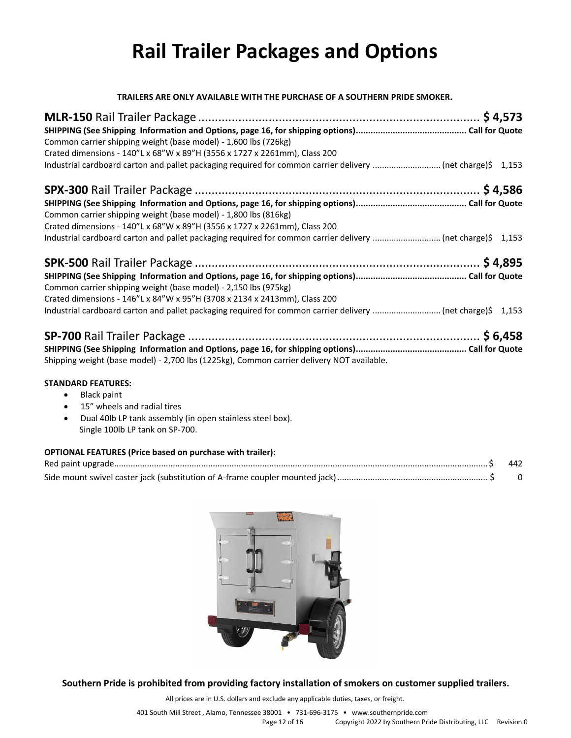# **Rail Trailer Packages and Options**

**TRAILERS ARE ONLY AVAILABLE WITH THE PURCHASE OF A SOUTHERN PRIDE SMOKER.**

| Common carrier shipping weight (base model) - 1,600 lbs (726kg)<br>Crated dimensions - 140"L x 68"W x 89"H (3556 x 1727 x 2261mm), Class 200 |  |
|----------------------------------------------------------------------------------------------------------------------------------------------|--|
|                                                                                                                                              |  |
| Common carrier shipping weight (base model) - 1,800 lbs (816kg)<br>Crated dimensions - 140"L x 68"W x 89"H (3556 x 1727 x 2261mm), Class 200 |  |
| Common carrier shipping weight (base model) - 2,150 lbs (975kg)<br>Crated dimensions - 146"L x 84"W x 95"H (3708 x 2134 x 2413mm), Class 200 |  |

| Shipping weight (base model) - 2,700 lbs (1225kg), Common carrier delivery NOT available. |  |
|-------------------------------------------------------------------------------------------|--|

#### **STANDARD FEATURES:**

- Black paint
- 15" wheels and radial tires
- Dual 40lb LP tank assembly (in open stainless steel box). Single 100lb LP tank on SP-700.

### **OPTIONAL FEATURES (Price based on purchase with trailer):**



**Southern Pride is prohibited from providing factory installation of smokers on customer supplied trailers.**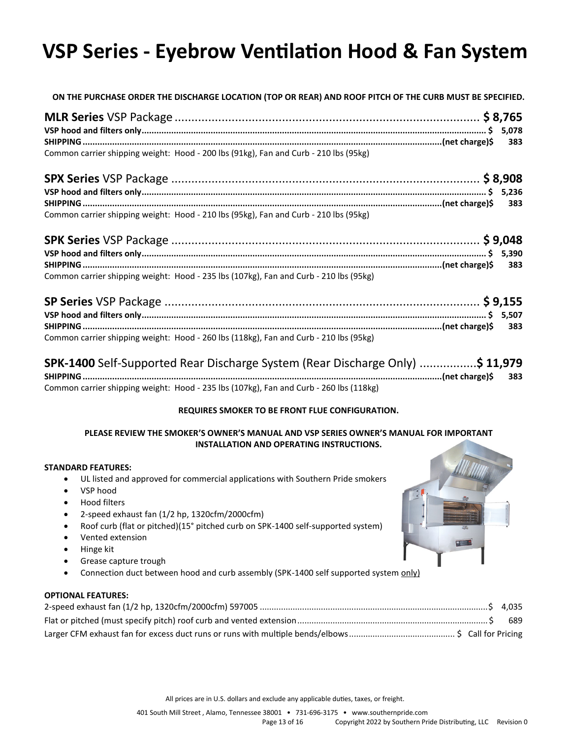# **VSP Series - Eyebrow Ventilation Hood & Fan System**

**ON THE PURCHASE ORDER THE DISCHARGE LOCATION (TOP OR REAR) AND ROOF PITCH OF THE CURB MUST BE SPECIFIED.**

| Common carrier shipping weight: Hood - 200 lbs (91kg), Fan and Curb - 210 lbs (95kg) |  |
|--------------------------------------------------------------------------------------|--|

| Common carrier shipping weight: Hood - 210 lbs (95kg), Fan and Curb - 210 lbs (95kg) |  |
|--------------------------------------------------------------------------------------|--|

| Common carrier shipping weight: Hood - 235 lbs (107kg), Fan and Curb - 210 lbs (95kg) |  |
|---------------------------------------------------------------------------------------|--|

| Common carrier shipping weight: Hood - 260 lbs (118kg), Fan and Curb - 210 lbs (95kg) |  |
|---------------------------------------------------------------------------------------|--|

| <b>SPK-1400</b> Self-Supported Rear Discharge System (Rear Discharge Only) \$ 11,979   |  |
|----------------------------------------------------------------------------------------|--|
|                                                                                        |  |
| Common carrier shipping weight: Hood - 235 lbs (107kg), Fan and Curb - 260 lbs (118kg) |  |

### **REQUIRES SMOKER TO BE FRONT FLUE CONFIGURATION.**

#### **PLEASE REVIEW THE SMOKER'S OWNER'S MANUAL AND VSP SERIES OWNER'S MANUAL FOR IMPORTANT INSTALLATION AND OPERATING INSTRUCTIONS.**

#### **STANDARD FEATURES:**

- UL listed and approved for commercial applications with Southern Pride smokers
- VSP hood
- Hood filters
- 2-speed exhaust fan (1/2 hp, 1320cfm/2000cfm)
- Roof curb (flat or pitched)(15° pitched curb on SPK-1400 self-supported system)
- Vented extension
- Hinge kit
- Grease capture trough
- Connection duct between hood and curb assembly (SPK-1400 self supported system only)

### **OPTIONAL FEATURES:**

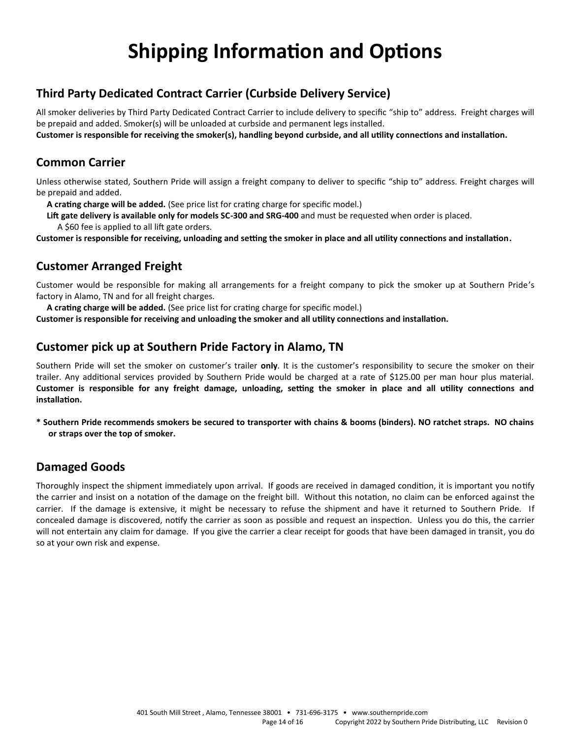# **Shipping Information and Options**

## **Third Party Dedicated Contract Carrier (Curbside Delivery Service)**

All smoker deliveries by Third Party Dedicated Contract Carrier to include delivery to specific "ship to" address. Freight charges will be prepaid and added. Smoker(s) will be unloaded at curbside and permanent legs installed.

**Customer is responsible for receiving the smoker(s), handling beyond curbside, and all utility connections and installation.**

## **Common Carrier**

Unless otherwise stated, Southern Pride will assign a freight company to deliver to specific "ship to" address. Freight charges will be prepaid and added.

 **A crating charge will be added.** (See price list for crating charge for specific model.)

 **Lift gate delivery is available only for models SC-300 and SRG-400** and must be requested when order is placed. A \$60 fee is applied to all lift gate orders.

**Customer is responsible for receiving, unloading and setting the smoker in place and all utility connections and installation.**

## **Customer Arranged Freight**

Customer would be responsible for making all arrangements for a freight company to pick the smoker up at Southern Pride's factory in Alamo, TN and for all freight charges.

 **A crating charge will be added.** (See price list for crating charge for specific model.)

**Customer is responsible for receiving and unloading the smoker and all utility connections and installation.** 

### **Customer pick up at Southern Pride Factory in Alamo, TN**

Southern Pride will set the smoker on customer's trailer **only**. It is the customer's responsibility to secure the smoker on their trailer. Any additional services provided by Southern Pride would be charged at a rate of \$125.00 per man hour plus material. **Customer is responsible for any freight damage, unloading, setting the smoker in place and all utility connections and installation.**

**\* Southern Pride recommends smokers be secured to transporter with chains & booms (binders). NO ratchet straps. NO chains or straps over the top of smoker.**

## **Damaged Goods**

Thoroughly inspect the shipment immediately upon arrival. If goods are received in damaged condition, it is important you notify the carrier and insist on a notation of the damage on the freight bill. Without this notation, no claim can be enforced against the carrier. If the damage is extensive, it might be necessary to refuse the shipment and have it returned to Southern Pride. If concealed damage is discovered, notify the carrier as soon as possible and request an inspection. Unless you do this, the carrier will not entertain any claim for damage. If you give the carrier a clear receipt for goods that have been damaged in transit, you do so at your own risk and expense.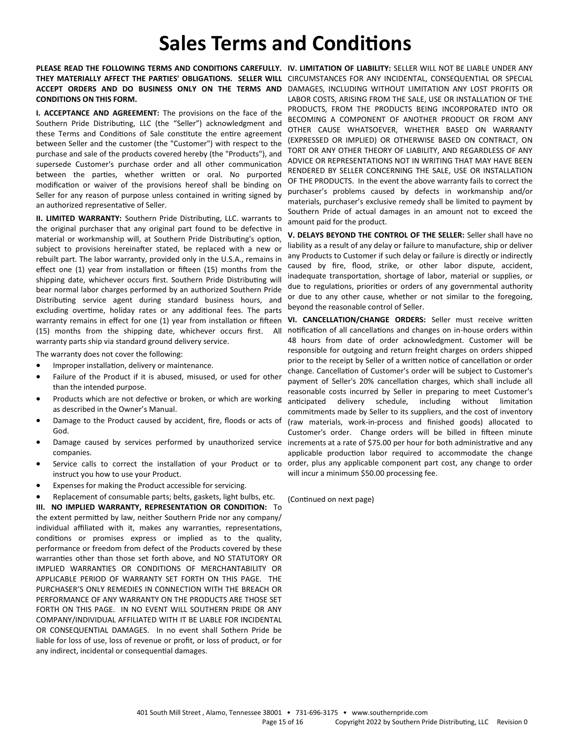## **Sales Terms and Conditions**

PLEASE READ THE FOLLOWING TERMS AND CONDITIONS CAREFULLY. IV. LIMITATION OF LIABILITY: SELLER WILL NOT BE LIABLE UNDER ANY THEY MATERIALLY AFFECT THE PARTIES' OBLIGATIONS. SELLER WILL CIRCUMSTANCES FOR ANY INCIDENTAL, CONSEQUENTIAL OR SPECIAL ACCEPT ORDERS AND DO BUSINESS ONLY ON THE TERMS AND DAMAGES, INCLUDING WITHOUT LIMITATION ANY LOST PROFITS OR **CONDITIONS ON THIS FORM.**

**I. ACCEPTANCE AND AGREEMENT:** The provisions on the face of the Southern Pride Distributing, LLC (the "Seller") acknowledgment and these Terms and Conditions of Sale constitute the entire agreement between Seller and the customer (the "Customer") with respect to the purchase and sale of the products covered hereby (the "Products"), and supersede Customer's purchase order and all other communication between the parties, whether written or oral. No purported modification or waiver of the provisions hereof shall be binding on Seller for any reason of purpose unless contained in writing signed by an authorized representative of Seller.

**II. LIMITED WARRANTY:** Southern Pride Distributing, LLC. warrants to the original purchaser that any original part found to be defective in material or workmanship will, at Southern Pride Distributing's option, subject to provisions hereinafter stated, be replaced with a new or rebuilt part. The labor warranty, provided only in the U.S.A., remains in effect one (1) year from installation or fifteen (15) months from the shipping date, whichever occurs first. Southern Pride Distributing will bear normal labor charges performed by an authorized Southern Pride Distributing service agent during standard business hours, and excluding overtime, holiday rates or any additional fees. The parts warranty remains in effect for one (1) year from installation or fifteen (15) months from the shipping date, whichever occurs first. All warranty parts ship via standard ground delivery service.

The warranty does not cover the following:

- Improper installation, delivery or maintenance.
- Failure of the Product if it is abused, misused, or used for other than the intended purpose.
- Products which are not defective or broken, or which are working as described in the Owner's Manual.
- Damage to the Product caused by accident, fire, floods or acts of God.
- Damage caused by services performed by unauthorized service companies.
- Service calls to correct the installation of your Product or to instruct you how to use your Product.
- Expenses for making the Product accessible for servicing.
- Replacement of consumable parts; belts, gaskets, light bulbs, etc.

**III. NO IMPLIED WARRANTY, REPRESENTATION OR CONDITION:** To the extent permitted by law, neither Southern Pride nor any company/ individual affiliated with it, makes any warranties, representations, conditions or promises express or implied as to the quality, performance or freedom from defect of the Products covered by these warranties other than those set forth above, and NO STATUTORY OR IMPLIED WARRANTIES OR CONDITIONS OF MERCHANTABILITY OR APPLICABLE PERIOD OF WARRANTY SET FORTH ON THIS PAGE. THE PURCHASER'S ONLY REMEDIES IN CONNECTION WITH THE BREACH OR PERFORMANCE OF ANY WARRANTY ON THE PRODUCTS ARE THOSE SET FORTH ON THIS PAGE. IN NO EVENT WILL SOUTHERN PRIDE OR ANY COMPANY/INDIVIDUAL AFFILIATED WITH IT BE LIABLE FOR INCIDENTAL OR CONSEQUENTIAL DAMAGES. In no event shall Sothern Pride be liable for loss of use, loss of revenue or profit, or loss of product, or for any indirect, incidental or consequential damages.

LABOR COSTS, ARISING FROM THE SALE, USE OR INSTALLATION OF THE PRODUCTS, FROM THE PRODUCTS BEING INCORPORATED INTO OR BECOMING A COMPONENT OF ANOTHER PRODUCT OR FROM ANY OTHER CAUSE WHATSOEVER, WHETHER BASED ON WARRANTY (EXPRESSED OR IMPLIED) OR OTHERWISE BASED ON CONTRACT, ON TORT OR ANY OTHER THEORY OF LIABILITY, AND REGARDLESS OF ANY ADVICE OR REPRESENTATIONS NOT IN WRITING THAT MAY HAVE BEEN RENDERED BY SELLER CONCERNING THE SALE, USE OR INSTALLATION OF THE PRODUCTS. In the event the above warranty fails to correct the purchaser's problems caused by defects in workmanship and/or materials, purchaser's exclusive remedy shall be limited to payment by Southern Pride of actual damages in an amount not to exceed the amount paid for the product.

**V. DELAYS BEYOND THE CONTROL OF THE SELLER:** Seller shall have no liability as a result of any delay or failure to manufacture, ship or deliver any Products to Customer if such delay or failure is directly or indirectly caused by fire, flood, strike, or other labor dispute, accident, inadequate transportation, shortage of labor, material or supplies, or due to regulations, priorities or orders of any governmental authority or due to any other cause, whether or not similar to the foregoing, beyond the reasonable control of Seller.

**VI. CANCELLATION/CHANGE ORDERS:** Seller must receive written notification of all cancellations and changes on in-house orders within 48 hours from date of order acknowledgment. Customer will be responsible for outgoing and return freight charges on orders shipped prior to the receipt by Seller of a written notice of cancellation or order change. Cancellation of Customer's order will be subject to Customer's payment of Seller's 20% cancellation charges, which shall include all reasonable costs incurred by Seller in preparing to meet Customer's anticipated delivery schedule, including without limitation commitments made by Seller to its suppliers, and the cost of inventory (raw materials, work-in-process and finished goods) allocated to Customer's order. Change orders will be billed in fifteen minute increments at a rate of \$75.00 per hour for both administrative and any applicable production labor required to accommodate the change order, plus any applicable component part cost, any change to order will incur a minimum \$50.00 processing fee.

(Continued on next page)